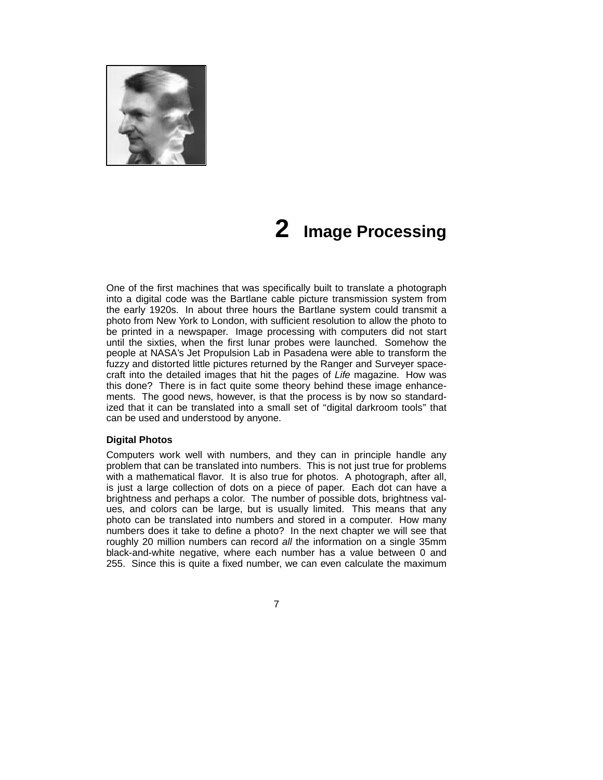

# **2 Image Processing**

One of the first machines that was specifically built to translate a photograph into a digital code was the Bartlane cable picture transmission system from the early 1920s. In about three hours the Bartlane system could transmit a photo from New York to London, with sufficient resolution to allow the photo to be printed in a newspaper. Image processing with computers did not start until the sixties, when the first lunar probes were launched. Somehow the people at NASA's Jet Propulsion Lab in Pasadena were able to transform the fuzzy and distorted little pictures returned by the Ranger and Surveyer spacecraft into the detailed images that hit the pages of Life magazine. How was this done? There is in fact quite some theory behind these image enhancements. The good news, however, is that the process is by now so standardized that it can be translated into a small set of ''digital darkroom tools'' that can be used and understood by anyone.

### **Digital Photos**

Computers work well with numbers, and they can in principle handle any problem that can be translated into numbers. This is not just true for problems with a mathematical flavor. It is also true for photos. A photograph, after all, is just a large collection of dots on a piece of paper. Each dot can have a brightness and perhaps a color. The number of possible dots, brightness values, and colors can be large, but is usually limited. This means that any photo can be translated into numbers and stored in a computer. How many numbers does it take to define a photo? In the next chapter we will see that roughly 20 million numbers can record all the information on a single 35mm black-and-white negative, where each number has a value between 0 and 255. Since this is quite a fixed number, we can even calculate the maximum

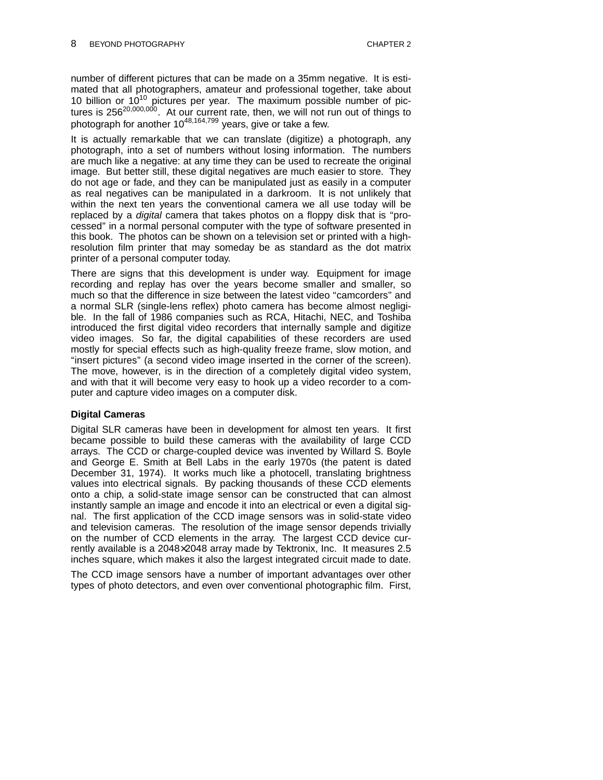number of different pictures that can be made on a 35mm negative. It is estimated that all photographers, amateur and professional together, take about 10 billion or  $10^{10}$  pictures per year. The maximum possible number of pictures is 256<sup>20,000,000</sup>. At our current rate, then, we will not run out of things to photograph for another  $10^{48,164,799}$  years, give or take a few.

It is actually remarkable that we can translate (digitize) a photograph, any photograph, into a set of numbers without losing information. The numbers are much like a negative: at any time they can be used to recreate the original image. But better still, these digital negatives are much easier to store. They do not age or fade, and they can be manipulated just as easily in a computer as real negatives can be manipulated in a darkroom. It is not unlikely that within the next ten years the conventional camera we all use today will be replaced by a *digital* camera that takes photos on a floppy disk that is "processed" in a normal personal computer with the type of software presented in this book. The photos can be shown on a television set or printed with a highresolution film printer that may someday be as standard as the dot matrix printer of a personal computer today.

There are signs that this development is under way. Equipment for image recording and replay has over the years become smaller and smaller, so much so that the difference in size between the latest video "camcorders" and a normal SLR (single-lens reflex) photo camera has become almost negligible. In the fall of 1986 companies such as RCA, Hitachi, NEC, and Toshiba introduced the first digital video recorders that internally sample and digitize video images. So far, the digital capabilities of these recorders are used mostly for special effects such as high-quality freeze frame, slow motion, and "insert pictures" (a second video image inserted in the corner of the screen). The move, however, is in the direction of a completely digital video system, and with that it will become very easy to hook up a video recorder to a computer and capture video images on a computer disk.

## **Digital Cameras**

Digital SLR cameras have been in development for almost ten years. It first became possible to build these cameras with the availability of large CCD arrays. The CCD or charge-coupled device was invented by Willard S. Boyle and George E. Smith at Bell Labs in the early 1970s (the patent is dated December 31, 1974). It works much like a photocell, translating brightness values into electrical signals. By packing thousands of these CCD elements onto a chip, a solid-state image sensor can be constructed that can almost instantly sample an image and encode it into an electrical or even a digital signal. The first application of the CCD image sensors was in solid-state video and television cameras. The resolution of the image sensor depends trivially on the number of CCD elements in the array. The largest CCD device currently available is a 2048×2048 array made by Tektronix, Inc. It measures 2.5 inches square, which makes it also the largest integrated circuit made to date.

The CCD image sensors have a number of important advantages over other types of photo detectors, and even over conventional photographic film. First,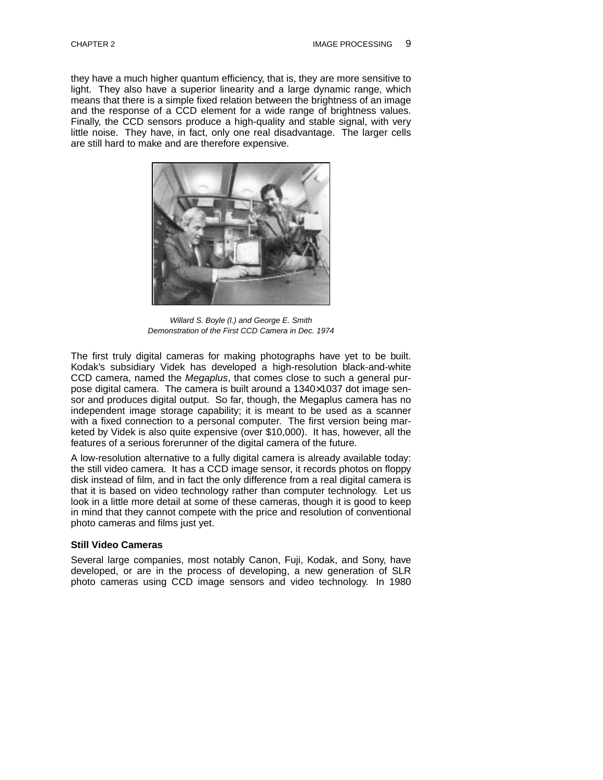they have a much higher quantum efficiency, that is, they are more sensitive to light. They also have a superior linearity and a large dynamic range, which means that there is a simple fixed relation between the brightness of an image and the response of a CCD element for a wide range of brightness values. Finally, the CCD sensors produce a high-quality and stable signal, with very little noise. They have, in fact, only one real disadvantage. The larger cells are still hard to make and are therefore expensive.



Willard S. Boyle (I.) and George E. Smith Demonstration of the First CCD Camera in Dec. 1974

The first truly digital cameras for making photographs have yet to be built. Kodak's subsidiary Videk has developed a high-resolution black-and-white CCD camera, named the Megaplus, that comes close to such a general purpose digital camera. The camera is built around a 1340×1037 dot image sensor and produces digital output. So far, though, the Megaplus camera has no independent image storage capability; it is meant to be used as a scanner with a fixed connection to a personal computer. The first version being marketed by Videk is also quite expensive (over \$10,000). It has, however, all the features of a serious forerunner of the digital camera of the future.

A low-resolution alternative to a fully digital camera is already available today: the still video camera. It has a CCD image sensor, it records photos on floppy disk instead of film, and in fact the only difference from a real digital camera is that it is based on video technology rather than computer technology. Let us look in a little more detail at some of these cameras, though it is good to keep in mind that they cannot compete with the price and resolution of conventional photo cameras and films just yet.

#### **Still Video Cameras**

Several large companies, most notably Canon, Fuji, Kodak, and Sony, have developed, or are in the process of developing, a new generation of SLR photo cameras using CCD image sensors and video technology. In 1980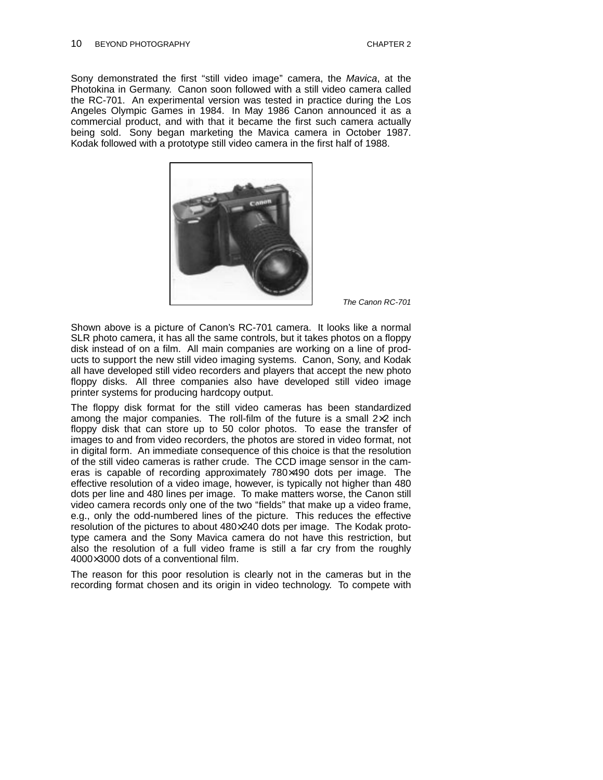Sony demonstrated the first "still video image" camera, the Mavica, at the Photokina in Germany. Canon soon followed with a still video camera called the RC-701. An experimental version was tested in practice during the Los Angeles Olympic Games in 1984. In May 1986 Canon announced it as a commercial product, and with that it became the first such camera actually being sold. Sony began marketing the Mavica camera in October 1987. Kodak followed with a prototype still video camera in the first half of 1988.



The Canon RC-701

Shown above is a picture of Canon's RC-701 camera. It looks like a normal SLR photo camera, it has all the same controls, but it takes photos on a floppy disk instead of on a film. All main companies are working on a line of products to support the new still video imaging systems. Canon, Sony, and Kodak all have developed still video recorders and players that accept the new photo floppy disks. All three companies also have developed still video image printer systems for producing hardcopy output.

The floppy disk format for the still video cameras has been standardized among the major companies. The roll-film of the future is a small  $2\times2$  inch floppy disk that can store up to 50 color photos. To ease the transfer of images to and from video recorders, the photos are stored in video format, not in digital form. An immediate consequence of this choice is that the resolution of the still video cameras is rather crude. The CCD image sensor in the cameras is capable of recording approximately 780×490 dots per image. The effective resolution of a video image, however, is typically not higher than 480 dots per line and 480 lines per image. To make matters worse, the Canon still video camera records only one of the two "fields" that make up a video frame, e.g., only the odd-numbered lines of the picture. This reduces the effective resolution of the pictures to about 480×240 dots per image. The Kodak prototype camera and the Sony Mavica camera do not have this restriction, but also the resolution of a full video frame is still a far cry from the roughly 4000×3000 dots of a conventional film.

The reason for this poor resolution is clearly not in the cameras but in the recording format chosen and its origin in video technology. To compete with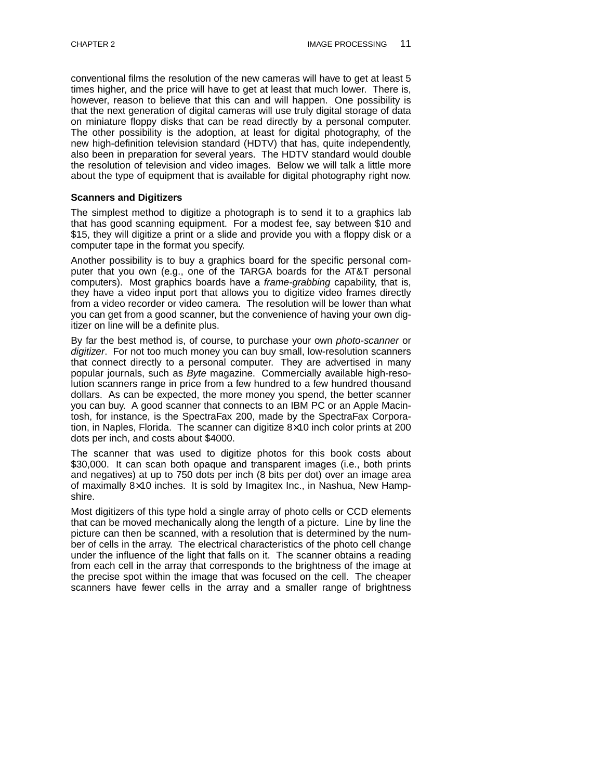conventional films the resolution of the new cameras will have to get at least 5 times higher, and the price will have to get at least that much lower. There is, however, reason to believe that this can and will happen. One possibility is that the next generation of digital cameras will use truly digital storage of data on miniature floppy disks that can be read directly by a personal computer. The other possibility is the adoption, at least for digital photography, of the new high-definition television standard (HDTV) that has, quite independently, also been in preparation for several years. The HDTV standard would double the resolution of television and video images. Below we will talk a little more about the type of equipment that is available for digital photography right now.

#### **Scanners and Digitizers**

The simplest method to digitize a photograph is to send it to a graphics lab that has good scanning equipment. For a modest fee, say between \$10 and \$15, they will digitize a print or a slide and provide you with a floppy disk or a computer tape in the format you specify.

Another possibility is to buy a graphics board for the specific personal computer that you own (e.g., one of the TARGA boards for the AT&T personal computers). Most graphics boards have a frame-grabbing capability, that is, they have a video input port that allows you to digitize video frames directly from a video recorder or video camera. The resolution will be lower than what you can get from a good scanner, but the convenience of having your own digitizer on line will be a definite plus.

By far the best method is, of course, to purchase your own photo-scanner or digitizer. For not too much money you can buy small, low-resolution scanners that connect directly to a personal computer. They are advertised in many popular journals, such as Byte magazine. Commercially available high-resolution scanners range in price from a few hundred to a few hundred thousand dollars. As can be expected, the more money you spend, the better scanner you can buy. A good scanner that connects to an IBM PC or an Apple Macintosh, for instance, is the SpectraFax 200, made by the SpectraFax Corporation, in Naples, Florida. The scanner can digitize  $8\times10$  inch color prints at 200 dots per inch, and costs about \$4000.

The scanner that was used to digitize photos for this book costs about \$30,000. It can scan both opaque and transparent images (i.e., both prints and negatives) at up to 750 dots per inch (8 bits per dot) over an image area of maximally 8×10 inches. It is sold by Imagitex Inc., in Nashua, New Hampshire.

Most digitizers of this type hold a single array of photo cells or CCD elements that can be moved mechanically along the length of a picture. Line by line the picture can then be scanned, with a resolution that is determined by the number of cells in the array. The electrical characteristics of the photo cell change under the influence of the light that falls on it. The scanner obtains a reading from each cell in the array that corresponds to the brightness of the image at the precise spot within the image that was focused on the cell. The cheaper scanners have fewer cells in the array and a smaller range of brightness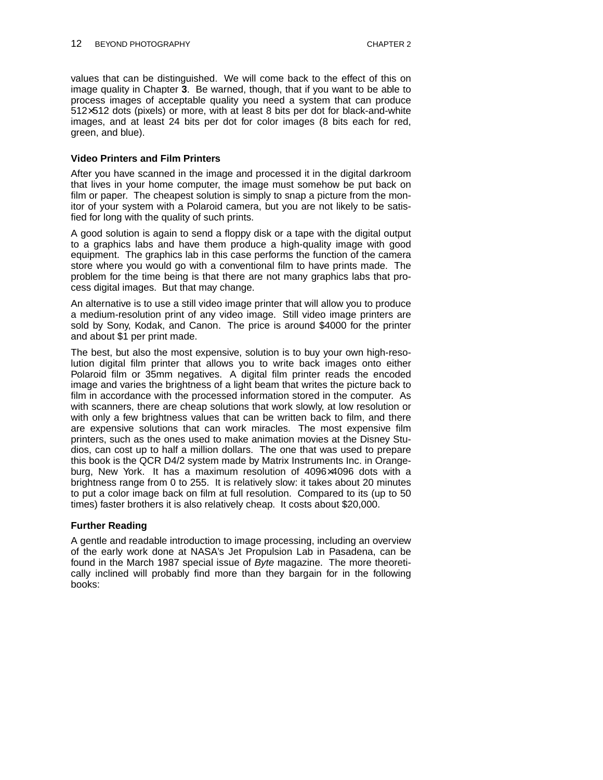values that can be distinguished. We will come back to the effect of this on image quality in Chapter 3. Be warned, though, that if you want to be able to process images of acceptable quality you need a system that can produce 512×512 dots (pixels) or more, with at least 8 bits per dot for black-and-white images, and at least 24 bits per dot for color images (8 bits each for red, green, and blue).

## **Video Printers and Film Printers**

After you have scanned in the image and processed it in the digital darkroom that lives in your home computer, the image must somehow be put back on film or paper. The cheapest solution is simply to snap a picture from the monitor of your system with a Polaroid camera, but you are not likely to be satisfied for long with the quality of such prints.

A good solution is again to send a floppy disk or a tape with the digital output to a graphics labs and have them produce a high-quality image with good equipment. The graphics lab in this case performs the function of the camera store where you would go with a conventional film to have prints made. The problem for the time being is that there are not many graphics labs that process digital images. But that may change.

An alternative is to use a still video image printer that will allow you to produce a medium-resolution print of any video image. Still video image printers are sold by Sony, Kodak, and Canon. The price is around \$4000 for the printer and about \$1 per print made.

The best, but also the most expensive, solution is to buy your own high-resolution digital film printer that allows you to write back images onto either Polaroid film or 35mm negatives. A digital film printer reads the encoded image and varies the brightness of a light beam that writes the picture back to film in accordance with the processed information stored in the computer. As with scanners, there are cheap solutions that work slowly, at low resolution or with only a few brightness values that can be written back to film, and there are expensive solutions that can work miracles. The most expensive film printers, such as the ones used to make animation movies at the Disney Studios, can cost up to half a million dollars. The one that was used to prepare this book is the QCR D4/2 system made by Matrix Instruments Inc. in Orangeburg, New York. It has a maximum resolution of 4096×4096 dots with a brightness range from 0 to 255. It is relatively slow: it takes about 20 minutes to put a color image back on film at full resolution. Compared to its (up to 50 times) faster brothers it is also relatively cheap. It costs about \$20,000.

## **Further Reading**

A gentle and readable introduction to image processing, including an overview of the early work done at NASA's Jet Propulsion Lab in Pasadena, can be found in the March 1987 special issue of Byte magazine. The more theoretically inclined will probably find more than they bargain for in the following books: